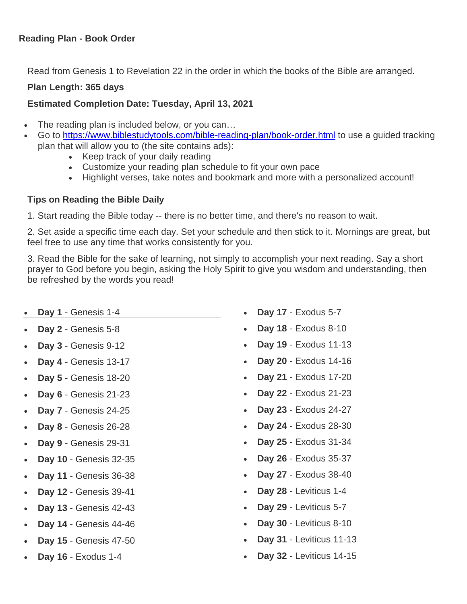## **Reading Plan - Book Order**

Read from Genesis 1 to Revelation 22 in the order in which the books of the Bible are arranged.

## **Plan Length: 365 days**

## **Estimated Completion Date: Tuesday, April 13, 2021**

- The reading plan is included below, or you can...
- Go to<https://www.biblestudytools.com/bible-reading-plan/book-order.html> to use a guided tracking plan that will allow you to (the site contains ads):
	- Keep track of your daily reading
	- Customize your reading plan schedule to fit your own pace
	- Highlight verses, take notes and bookmark and more with a personalized account!

## **Tips on Reading the Bible Daily**

1. Start reading the Bible today -- there is no better time, and there's no reason to wait.

2. Set aside a specific time each day. Set your schedule and then stick to it. Mornings are great, but feel free to use any time that works consistently for you.

3. Read the Bible for the sake of learning, not simply to accomplish your next reading. Say a short prayer to God before you begin, asking the Holy Spirit to give you wisdom and understanding, then be refreshed by the words you read!

- **Day 1** Genesis 1-4
- **Day 2** Genesis 5-8
- **Day 3** Genesis 9-12
- **Day 4** Genesis 13-17
- **Day 5** Genesis 18-20
- **Day 6** Genesis 21-23
- **Day 7** Genesis 24-25
- **Day 8** Genesis 26-28
- **Day 9** Genesis 29-31
- **Day 10** Genesis 32-35
- **Day 11** Genesis 36-38
- **Day 12** Genesis 39-41
- **Day 13** Genesis 42-43
- **Day 14** Genesis 44-46
- **Day 15** Genesis 47-50
- **Day 16** Exodus 1-4
- **Day 17** Exodus 5-7
- **Day 18** Exodus 8-10
- **Day 19** Exodus 11-13
- **Day 20** Exodus 14-16
- **Day 21** Exodus 17-20
- **Day 22** Exodus 21-23
- **Day 23** Exodus 24-27
- **Day 24** Exodus 28-30
- **Day 25** Exodus 31-34
- **Day 26** Exodus 35-37
- **Day 27** Exodus 38-40
- **Day 28** Leviticus 1-4
- **Day 29** Leviticus 5-7
- **Day 30** Leviticus 8-10
- **Day 31** Leviticus 11-13
- **Day 32** Leviticus 14-15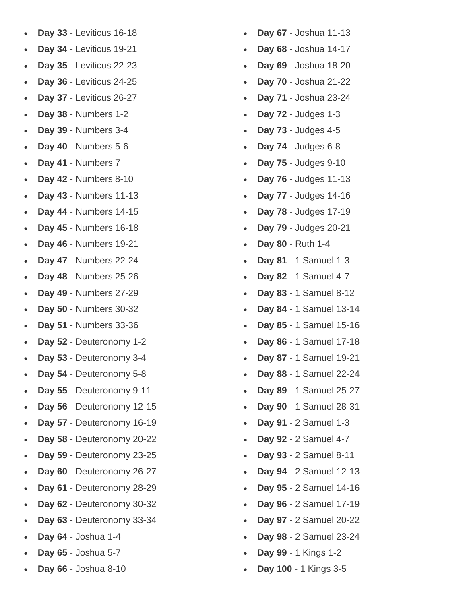- **Day 33** Leviticus 16-18
- **Day 34** Leviticus 19-21
- **Day 35** Leviticus 22-23
- **Day 36** Leviticus 24-25
- **Day 37** Leviticus 26-27
- **Day 38** Numbers 1-2
- **Day 39** Numbers 3-4
- **Day 40** Numbers 5-6
- **Day 41** Numbers 7
- **Day 42** Numbers 8-10
- **Day 43** Numbers 11-13
- **Day 44** Numbers 14-15
- **Day 45** Numbers 16-18
- **Day 46** Numbers 19-21
- **Day 47** Numbers 22-24
- **Day 48** Numbers 25-26
- **Day 49** Numbers 27-29
- **Day 50** Numbers 30-32
- **Day 51** Numbers 33-36
- **Day 52** Deuteronomy 1-2
- **Day 53** Deuteronomy 3-4
- **Day 54** Deuteronomy 5-8
- **Day 55** Deuteronomy 9-11
- **Day 56** Deuteronomy 12-15
- **Day 57** Deuteronomy 16-19
- **Day 58** Deuteronomy 20-22
- **Day 59** Deuteronomy 23-25
- **Day 60** Deuteronomy 26-27
- **Day 61** Deuteronomy 28-29
- **Day 62** Deuteronomy 30-32
- **Day 63** Deuteronomy 33-34
- **Day 64** Joshua 1-4
- **Day 65** Joshua 5-7
- **Day 66** Joshua 8-10
- **Day 67** Joshua 11-13
- **Day 68** Joshua 14-17
- **Day 69** Joshua 18-20
- **Day 70** Joshua 21-22
- **Day 71** Joshua 23-24
- **Day 72** Judges 1-3
- **Day 73** Judges 4-5
- **Day 74** Judges 6-8
- **Day 75** Judges 9-10
- **Day 76** Judges 11-13
- **Day 77** Judges 14-16
- **Day 78** Judges 17-19
- **Day 79** Judges 20-21
- **Day 80** Ruth 1-4
- **Day 81** 1 Samuel 1-3
- **Day 82** 1 Samuel 4-7
- **Day 83** 1 Samuel 8-12
- **Day 84** 1 Samuel 13-14
- **Day 85** 1 Samuel 15-16
- **Day 86** 1 Samuel 17-18
- **Day 87** 1 Samuel 19-21
- **Day 88** 1 Samuel 22-24
- **Day 89** 1 Samuel 25-27
- **Day 90** 1 Samuel 28-31
- **Day 91** 2 Samuel 1-3
- **Day 92** 2 Samuel 4-7
- **Day 93** 2 Samuel 8-11
- **Day 94** 2 Samuel 12-13
- **Day 95** 2 Samuel 14-16
- **Day 96** 2 Samuel 17-19
- **Day 97** 2 Samuel 20-22
- **Day 98** 2 Samuel 23-24
- **Day 99** 1 Kings 1-2
- **Day 100** 1 Kings 3-5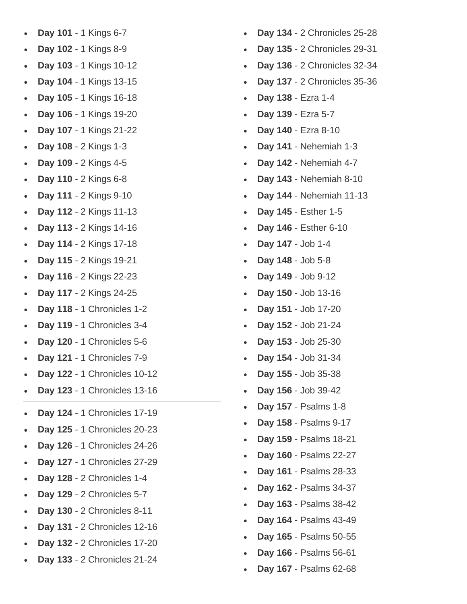- Day 101 1 Kings 6-7
- Day 102 1 Kings 8-9
- Day 103 1 Kings 10-12
- Day 104 1 Kings 13-15
- Day 105 1 Kings 16-18
- Day 106 1 Kings 19-20
- Day 107 1 Kings 21-22
- Day 108 2 Kings 1-3
- Day 109 2 Kings 4-5
- Day 110 2 Kings 6-8
- Day 111 2 Kings 9-10
- **Day 112** 2 Kings 11 -13
- **Day 113** 2 Kings 14 -16
- **Day 114** 2 Kings 17 -18
- Day 115 2 Kings 19-21
- **Day 116** 2 Kings 22 -23
- **Day 117** 2 Kings 24 -25
- Day 118 1 Chronicles 1-2
- Day 119 1 Chronicles 3-4
- Day 120 1 Chronicles 5-6
- Day 121 1 Chronicles 7-9
- **Day 122** 1 Chronicles 10 -12
- Day 123 1 Chronicles 13-16
- **Day 124** 1 Chronicles 17 -19
- Day 125 1 Chronicles 20-23
- Day 126 1 Chronicles 24-26
- **Day 127** 1 Chronicles 27 -29
- Day 128 - 2 Chronicles 1-4
- Day 129 2 Chronicles 5-7
- **Day 130** 2 Chronicles 8 -11
- **Day 131** 2 Chronicles 12 -16
- **Day 132** 2 Chronicles 17 -20
- **Day 133** 2 Chronicles 21 -24
- **Day 134** 2 Chronicles 25 -28
- **Day 135** 2 Chronicles 29 -31
- **Day 136** 2 Chronicles 32 -34
- **Day 137** 2 Chronicles 35 -36
- Day 138 Ezra 1-4
- Day 139 Ezra 5-7
- Day 140 Ezra 8-10
- Day 141 Nehemiah 1-3
- Day 142 Nehemiah 4-7
- **Day 143** Nehemiah 8 -10
- **Day 144** Nehemiah 11 -13
- **Day 145** Esther 1 5
- Day 146 Esther 6-10
- Day 147 Job 1-4
- Day 148 Job 5-8
- Day 149 Job 9-12
- **Day 150** Job 13 -16
- **Day 151** Job 17 -20
- **Day 152** Job 21 -24
- Day 153 Job 25-30
- **Day 154** Job 31 -34
- **Day 155** Job 35 -38
- **Day 156** Job 39 -42
- **Day 157** Psalms 1 8
- **Day 158** Psalms 9 -17
- **Day 159** Psalms 18 -21
- **Day 160** Psalms 22 -27
- **Day 161** Psalms 28 -33
- **Day 162** Psalms 34 -37
- **Day 163** Psalms 38 -42
- Day 164 Psalms 43-49
- Day 165 Psalms 50-55
- Day 166 Psalms 56-61
- **Day 167** Psalms 62 -68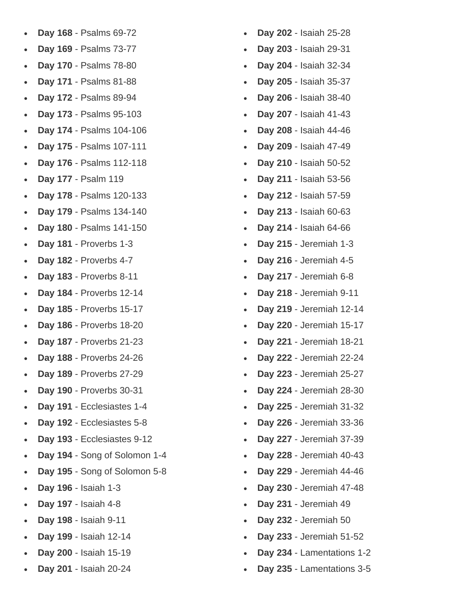- **Day 168** Psalms 69-72
- **Day 169** Psalms 73-77
- **Day 170** Psalms 78-80
- **Day 171** Psalms 81-88
- **Day 172** Psalms 89-94
- **Day 173** Psalms 95-103
- **Day 174** Psalms 104-106
- **Day 175** Psalms 107-111
- **Day 176** Psalms 112-118
- **Day 177** Psalm 119
- **Day 178** Psalms 120-133
- **Day 179** Psalms 134-140
- **Day 180** Psalms 141-150
- **Day 181** Proverbs 1-3
- **Day 182** Proverbs 4-7
- **Day 183** Proverbs 8-11
- **Day 184** Proverbs 12-14
- **Day 185** Proverbs 15-17
- **Day 186** Proverbs 18-20
- **Day 187** Proverbs 21-23
- **Day 188** Proverbs 24-26
- **Day 189** Proverbs 27-29
- **Day 190** Proverbs 30-31
- **Day 191** Ecclesiastes 1-4
- **Day 192** Ecclesiastes 5-8
- **Day 193** Ecclesiastes 9-12
- **Day 194** Song of Solomon 1-4
- **Day 195** Song of Solomon 5-8
- **Day 196** Isaiah 1-3
- **Day 197** Isaiah 4-8
- **Day 198** Isaiah 9-11
- **Day 199** Isaiah 12-14
- **Day 200** Isaiah 15-19
- **Day 201** Isaiah 20-24
- **Day 202** Isaiah 25-28
- **Day 203** Isaiah 29-31
- **Day 204** Isaiah 32-34
- **Day 205** Isaiah 35-37
- **Day 206** Isaiah 38-40
- **Day 207** Isaiah 41-43
- **Day 208** Isaiah 44-46
- **Day 209** Isaiah 47-49
- **Day 210** Isaiah 50-52
- **Day 211** Isaiah 53-56
- **Day 212** Isaiah 57-59
- **Day 213** Isaiah 60-63
- **Day 214** Isaiah 64-66
- **Day 215** Jeremiah 1-3
- **Day 216** Jeremiah 4-5
- **Day 217** Jeremiah 6-8
- **Day 218** Jeremiah 9-11
- **Day 219** Jeremiah 12-14
- **Day 220** Jeremiah 15-17
- **Day 221** Jeremiah 18-21
- **Day 222** Jeremiah 22-24
- **Day 223** Jeremiah 25-27
- **Day 224** Jeremiah 28-30
- **Day 225** Jeremiah 31-32
- **Day 226** Jeremiah 33-36
- **Day 227** Jeremiah 37-39
- **Day 228** Jeremiah 40-43
- **Day 229** Jeremiah 44-46
- **Day 230** Jeremiah 47-48
- **Day 231** Jeremiah 49
- **Day 232** Jeremiah 50
- **Day 233** Jeremiah 51-52
- **Day 234** Lamentations 1-2
- **Day 235** Lamentations 3-5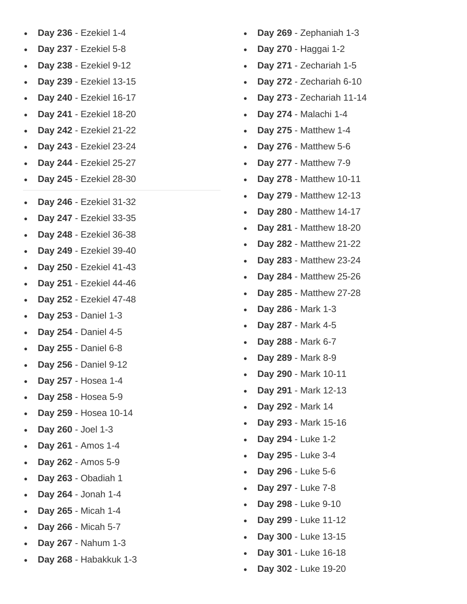- Day 236 Ezekiel 1-4
- **Day 237** Ezekiel 5 8
- **Day 238** Ezekiel 9 -12
- **Day 239** Ezekiel 13 -15
- **Day 240** Ezekiel 16 -17
- **Day 241** Ezekiel 18 -20
- **Day 242** Ezekiel 21 -22
- **Day 243** Ezekiel 23 -24
- **Day 244** Ezekiel 25 -27
- **Day 245** Ezekiel 28 -30
- **Day 246** Ezekiel 31 -32
- **Day 247** Ezekiel 33 -35
- **Day 248** Ezekiel 36 -38
- Day 249 Ezekiel 39-40
- **Day 250** Ezekiel 41 -43
- **Day 251** Ezekiel 44 -46
- **Day 252** Ezekiel 47 -48
- Day 253 Daniel 1-3
- Day 254 Daniel 4-5
- Day 255 Daniel 6-8
- Day 256 Daniel 9-12
- Day 257 Hosea 1-4
- Day 258 Hosea 5-9
- Day 259 Hosea 10-14
- Day 260 Joel 1-3
- Day 261 Amos 1-4
- **Day 262** Amos 5 9
- **Day 263** Obadiah 1
- Day 264 Jonah 1-4
- Day 265 Micah 1-4
- Day 266 Micah 5-7
- Day 267 Nahum 1-3
- **Day 268** Habakkuk 1 3
- Day 269 Zephaniah 1-3
- Day 270 Haggai 1-2
- Day 271 Zechariah 1-5
- Day 272 Zechariah 6-10
- **Day 273** Zechariah 11 -14
- **Day 274** Malachi 1 4
- Day 275 Matthew 1-4
- Day 276 Matthew 5-6
- **Day 277** Matthew 7 9
- Day 278 Matthew 10-11
- Day 279 Matthew 12-13
- Day 280 Matthew 14-17
- **Day 281** Matthew 18 -20
- **Day 282** Matthew 21 -22
- Day 283 Matthew 23-24
- **Day 284** Matthew 25 -26
- **Day 285** Matthew 27 -28
- **Day 286** Mark 1 3
- **Day 287** Mark 4 5
- Day 288 Mark 6-7
- **Day 289** Mark 8 9
- Day 290 Mark 10-11
- **Day 291** Mark 12 -13
- **Day 292** Mark 14
- **Day 293** Mark 15 -16
- Day 294 Luke 1-2
- Day 295 Luke 3-4
- Day 296 Luke 5-6
- Day 297 Luke 7-8
- Day 298 Luke 9-10
- **Day 299** Luke 11 -12
- Day 300 Luke 13-15
- Day 301 Luke 16-18
- Day 302 Luke 19-20